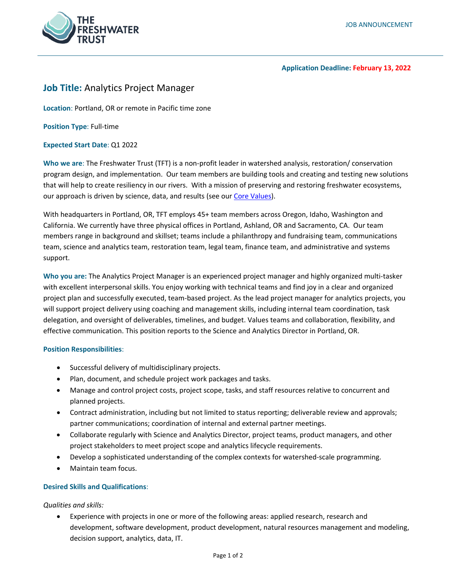

#### **Application Deadline: February 13, 2022**

# **Job Title:** Analytics Project Manager

**Location**: Portland, OR or remote in Pacific time zone

**Position Type**: Full-time

#### **Expected Start Date**: Q1 2022

**Who we are**: The Freshwater Trust (TFT) is a non-profit leader in watershed analysis, restoration/ conservation program design, and implementation. Our team members are building tools and creating and testing new solutions that will help to create resiliency in our rivers. With a mission of preserving and restoring freshwater ecosystems, our approach is driven by science, data, and results (see our [Core Values\)](https://www.thefreshwatertrust.org/about-us/core-values/).

With headquarters in Portland, OR, TFT employs 45+ team members across Oregon, Idaho, Washington and California. We currently have three physical offices in Portland, Ashland, OR and Sacramento, CA. Our team members range in background and skillset; teams include a philanthropy and fundraising team, communications team, science and analytics team, restoration team, legal team, finance team, and administrative and systems support.

**Who you are:** The Analytics Project Manager is an experienced project manager and highly organized multi-tasker with excellent interpersonal skills. You enjoy working with technical teams and find joy in a clear and organized project plan and successfully executed, team-based project. As the lead project manager for analytics projects, you will support project delivery using coaching and management skills, including internal team coordination, task delegation, and oversight of deliverables, timelines, and budget. Values teams and collaboration, flexibility, and effective communication. This position reports to the Science and Analytics Director in Portland, OR.

#### **Position Responsibilities**:

- Successful delivery of multidisciplinary projects.
- Plan, document, and schedule project work packages and tasks.
- Manage and control project costs, project scope, tasks, and staff resources relative to concurrent and planned projects.
- Contract administration, including but not limited to status reporting; deliverable review and approvals; partner communications; coordination of internal and external partner meetings.
- Collaborate regularly with Science and Analytics Director, project teams, product managers, and other project stakeholders to meet project scope and analytics lifecycle requirements.
- Develop a sophisticated understanding of the complex contexts for watershed-scale programming.
- Maintain team focus.

### **Desired Skills and Qualifications**:

*Qualities and skills:*

• Experience with projects in one or more of the following areas: applied research, research and development, software development, product development, natural resources management and modeling, decision support, analytics, data, IT.